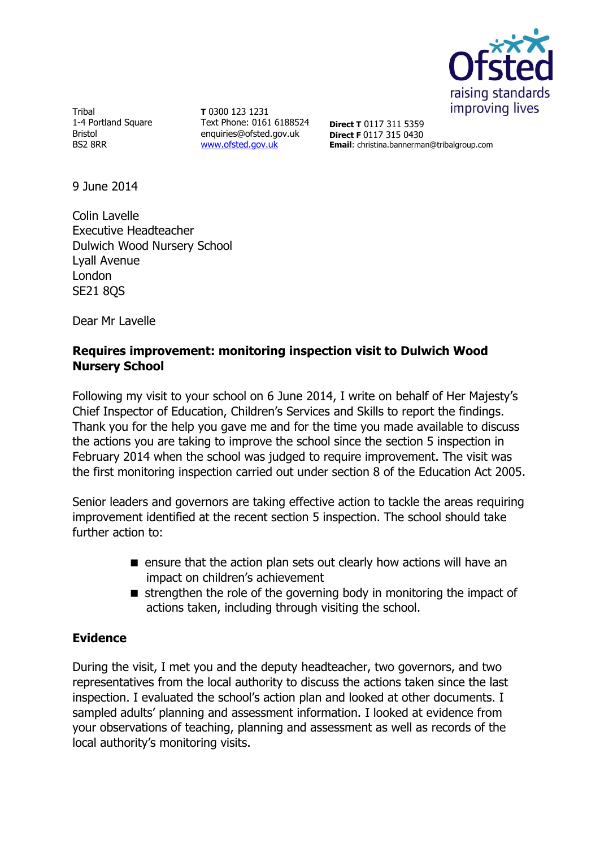

Tribal 1-4 Portland Square Bristol BS2 8RR

**T** 0300 123 1231 Text Phone: 0161 6188524 enquiries@ofsted.gov.uk [www.ofsted.gov.uk](http://www.ofsted.gov.uk/)

**Direct T** 0117 311 5359 **Direct F** 0117 315 0430 **Email**: christina.bannerman@tribalgroup.com

9 June 2014

Colin Lavelle Executive Headteacher Dulwich Wood Nursery School Lyall Avenue London SE21 8QS

Dear Mr Lavelle

#### **Requires improvement: monitoring inspection visit to Dulwich Wood Nursery School**

Following my visit to your school on 6 June 2014, I write on behalf of Her Majesty's Chief Inspector of Education, Children's Services and Skills to report the findings. Thank you for the help you gave me and for the time you made available to discuss the actions you are taking to improve the school since the section 5 inspection in February 2014 when the school was judged to require improvement. The visit was the first monitoring inspection carried out under section 8 of the Education Act 2005.

Senior leaders and governors are taking effective action to tackle the areas requiring improvement identified at the recent section 5 inspection. The school should take further action to:

- $\blacksquare$  ensure that the action plan sets out clearly how actions will have an impact on children's achievement
- $\blacksquare$  strengthen the role of the governing body in monitoring the impact of actions taken, including through visiting the school.

# **Evidence**

During the visit, I met you and the deputy headteacher, two governors, and two representatives from the local authority to discuss the actions taken since the last inspection. I evaluated the school's action plan and looked at other documents. I sampled adults' planning and assessment information. I looked at evidence from your observations of teaching, planning and assessment as well as records of the local authority's monitoring visits.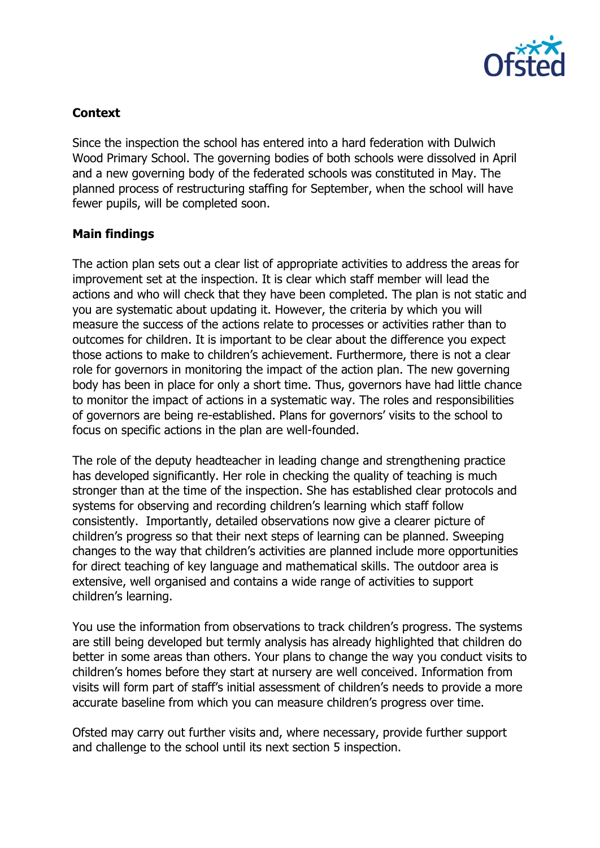

# **Context**

Since the inspection the school has entered into a hard federation with Dulwich Wood Primary School. The governing bodies of both schools were dissolved in April and a new governing body of the federated schools was constituted in May. The planned process of restructuring staffing for September, when the school will have fewer pupils, will be completed soon.

### **Main findings**

The action plan sets out a clear list of appropriate activities to address the areas for improvement set at the inspection. It is clear which staff member will lead the actions and who will check that they have been completed. The plan is not static and you are systematic about updating it. However, the criteria by which you will measure the success of the actions relate to processes or activities rather than to outcomes for children. It is important to be clear about the difference you expect those actions to make to children's achievement. Furthermore, there is not a clear role for governors in monitoring the impact of the action plan. The new governing body has been in place for only a short time. Thus, governors have had little chance to monitor the impact of actions in a systematic way. The roles and responsibilities of governors are being re-established. Plans for governors' visits to the school to focus on specific actions in the plan are well-founded.

The role of the deputy headteacher in leading change and strengthening practice has developed significantly. Her role in checking the quality of teaching is much stronger than at the time of the inspection. She has established clear protocols and systems for observing and recording children's learning which staff follow consistently. Importantly, detailed observations now give a clearer picture of children's progress so that their next steps of learning can be planned. Sweeping changes to the way that children's activities are planned include more opportunities for direct teaching of key language and mathematical skills. The outdoor area is extensive, well organised and contains a wide range of activities to support children's learning.

You use the information from observations to track children's progress. The systems are still being developed but termly analysis has already highlighted that children do better in some areas than others. Your plans to change the way you conduct visits to children's homes before they start at nursery are well conceived. Information from visits will form part of staff's initial assessment of children's needs to provide a more accurate baseline from which you can measure children's progress over time.

Ofsted may carry out further visits and, where necessary, provide further support and challenge to the school until its next section 5 inspection.